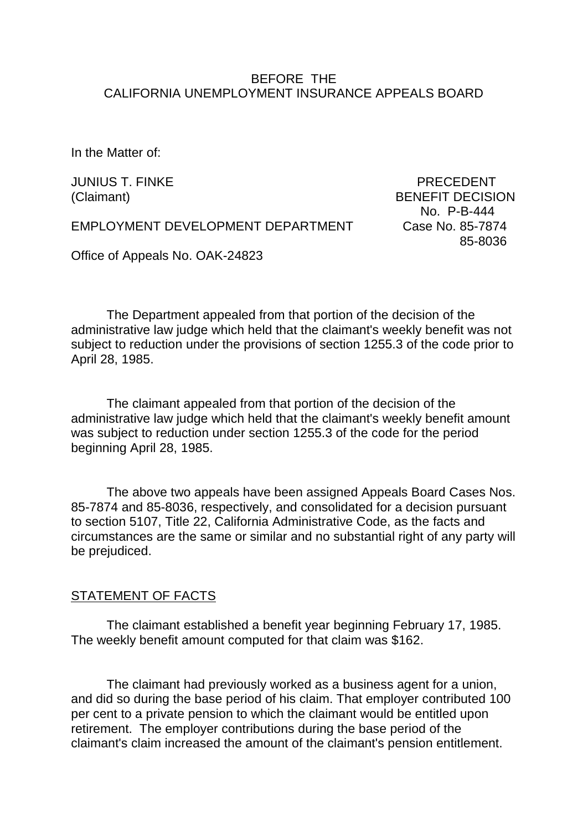## BEFORE THE CALIFORNIA UNEMPLOYMENT INSURANCE APPEALS BOARD

In the Matter of:

JUNIUS T. FINKE PRECEDENT (Claimant) BENEFIT DECISION No. P-B-444 85-8036

EMPLOYMENT DEVELOPMENT DEPARTMENT Case No. 85-7874

Office of Appeals No. OAK-24823

The Department appealed from that portion of the decision of the administrative law judge which held that the claimant's weekly benefit was not subject to reduction under the provisions of section 1255.3 of the code prior to April 28, 1985.

The claimant appealed from that portion of the decision of the administrative law judge which held that the claimant's weekly benefit amount was subject to reduction under section 1255.3 of the code for the period beginning April 28, 1985.

The above two appeals have been assigned Appeals Board Cases Nos. 85-7874 and 85-8036, respectively, and consolidated for a decision pursuant to section 5107, Title 22, California Administrative Code, as the facts and circumstances are the same or similar and no substantial right of any party will be prejudiced.

#### STATEMENT OF FACTS

The claimant established a benefit year beginning February 17, 1985. The weekly benefit amount computed for that claim was \$162.

The claimant had previously worked as a business agent for a union, and did so during the base period of his claim. That employer contributed 100 per cent to a private pension to which the claimant would be entitled upon retirement. The employer contributions during the base period of the claimant's claim increased the amount of the claimant's pension entitlement.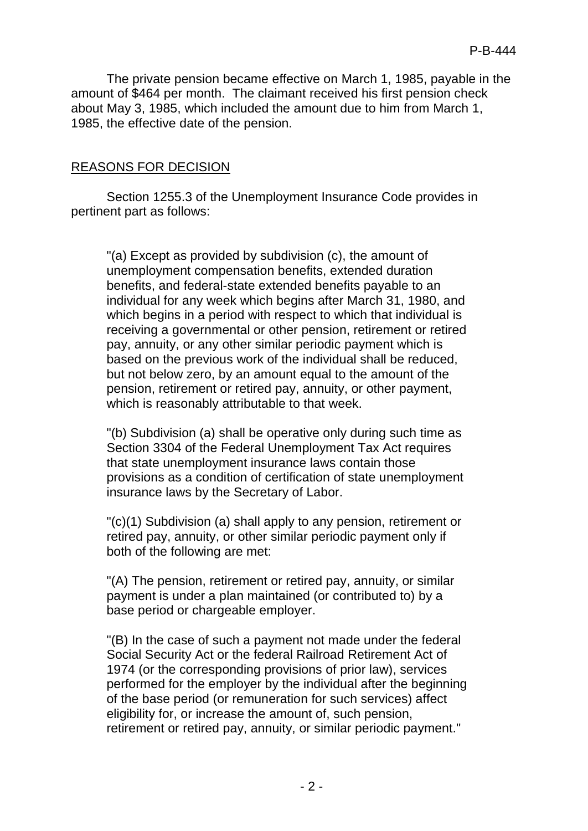The private pension became effective on March 1, 1985, payable in the amount of \$464 per month. The claimant received his first pension check about May 3, 1985, which included the amount due to him from March 1, 1985, the effective date of the pension.

# REASONS FOR DECISION

Section 1255.3 of the Unemployment Insurance Code provides in pertinent part as follows:

"(a) Except as provided by subdivision (c), the amount of unemployment compensation benefits, extended duration benefits, and federal-state extended benefits payable to an individual for any week which begins after March 31, 1980, and which begins in a period with respect to which that individual is receiving a governmental or other pension, retirement or retired pay, annuity, or any other similar periodic payment which is based on the previous work of the individual shall be reduced, but not below zero, by an amount equal to the amount of the pension, retirement or retired pay, annuity, or other payment, which is reasonably attributable to that week.

"(b) Subdivision (a) shall be operative only during such time as Section 3304 of the Federal Unemployment Tax Act requires that state unemployment insurance laws contain those provisions as a condition of certification of state unemployment insurance laws by the Secretary of Labor.

"(c)(1) Subdivision (a) shall apply to any pension, retirement or retired pay, annuity, or other similar periodic payment only if both of the following are met:

"(A) The pension, retirement or retired pay, annuity, or similar payment is under a plan maintained (or contributed to) by a base period or chargeable employer.

"(B) In the case of such a payment not made under the federal Social Security Act or the federal Railroad Retirement Act of 1974 (or the corresponding provisions of prior law), services performed for the employer by the individual after the beginning of the base period (or remuneration for such services) affect eligibility for, or increase the amount of, such pension, retirement or retired pay, annuity, or similar periodic payment."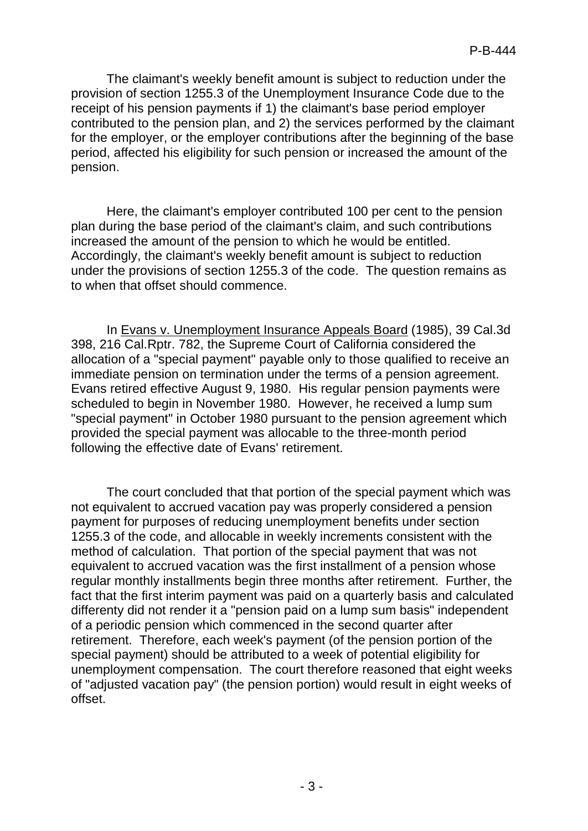The claimant's weekly benefit amount is subject to reduction under the provision of section 1255.3 of the Unemployment Insurance Code due to the receipt of his pension payments if 1) the claimant's base period employer contributed to the pension plan, and 2) the services performed by the claimant for the employer, or the employer contributions after the beginning of the base period, affected his eligibility for such pension or increased the amount of the pension.

Here, the claimant's employer contributed 100 per cent to the pension plan during the base period of the claimant's claim, and such contributions increased the amount of the pension to which he would be entitled. Accordingly, the claimant's weekly benefit amount is subject to reduction under the provisions of section 1255.3 of the code. The question remains as to when that offset should commence.

In Evans v. Unemployment Insurance Appeals Board (1985), 39 Cal.3d 398, 216 Cal.Rptr. 782, the Supreme Court of California considered the allocation of a "special payment" payable only to those qualified to receive an immediate pension on termination under the terms of a pension agreement. Evans retired effective August 9, 1980. His regular pension payments were scheduled to begin in November 1980. However, he received a lump sum "special payment" in October 1980 pursuant to the pension agreement which provided the special payment was allocable to the three-month period following the effective date of Evans' retirement.

The court concluded that that portion of the special payment which was not equivalent to accrued vacation pay was properly considered a pension payment for purposes of reducing unemployment benefits under section 1255.3 of the code, and allocable in weekly increments consistent with the method of calculation. That portion of the special payment that was not equivalent to accrued vacation was the first installment of a pension whose regular monthly installments begin three months after retirement. Further, the fact that the first interim payment was paid on a quarterly basis and calculated differenty did not render it a "pension paid on a lump sum basis" independent of a periodic pension which commenced in the second quarter after retirement. Therefore, each week's payment (of the pension portion of the special payment) should be attributed to a week of potential eligibility for unemployment compensation. The court therefore reasoned that eight weeks of "adjusted vacation pay" (the pension portion) would result in eight weeks of offset.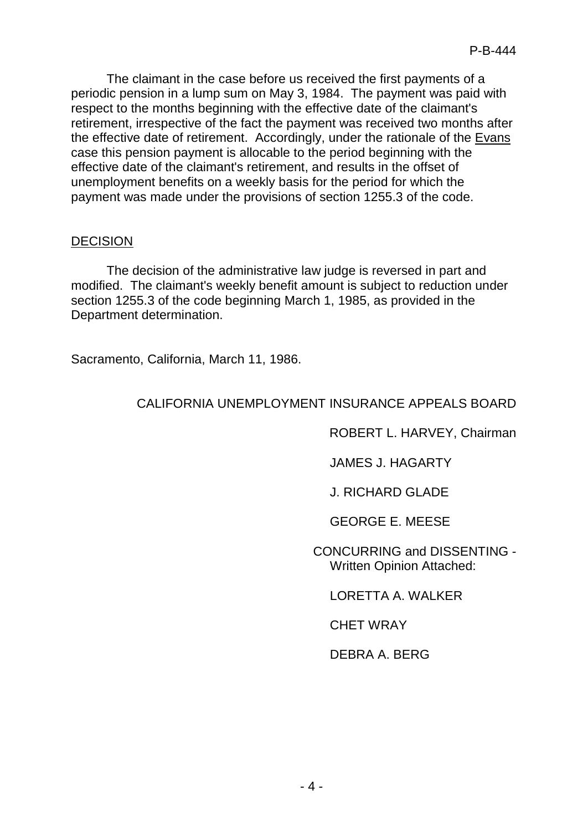The claimant in the case before us received the first payments of a periodic pension in a lump sum on May 3, 1984. The payment was paid with respect to the months beginning with the effective date of the claimant's retirement, irrespective of the fact the payment was received two months after the effective date of retirement. Accordingly, under the rationale of the Evans case this pension payment is allocable to the period beginning with the effective date of the claimant's retirement, and results in the offset of unemployment benefits on a weekly basis for the period for which the payment was made under the provisions of section 1255.3 of the code.

## DECISION

The decision of the administrative law judge is reversed in part and modified. The claimant's weekly benefit amount is subject to reduction under section 1255.3 of the code beginning March 1, 1985, as provided in the Department determination.

Sacramento, California, March 11, 1986.

# CALIFORNIA UNEMPLOYMENT INSURANCE APPEALS BOARD

ROBERT L. HARVEY, Chairman

JAMES J. HAGARTY

J. RICHARD GLADE

GEORGE E. MEESE

CONCURRING and DISSENTING - Written Opinion Attached:

LORETTA A. WALKER

CHET WRAY

DEBRA A. BERG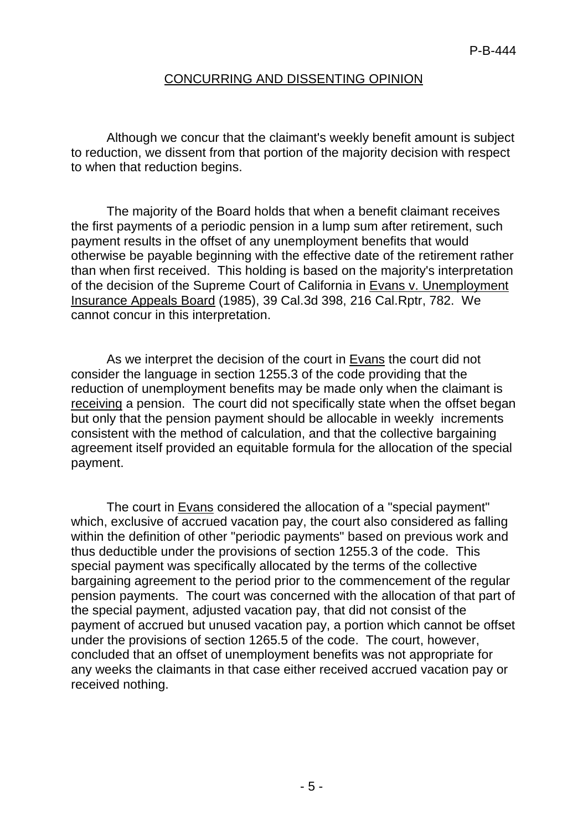## CONCURRING AND DISSENTING OPINION

Although we concur that the claimant's weekly benefit amount is subject to reduction, we dissent from that portion of the majority decision with respect to when that reduction begins.

The majority of the Board holds that when a benefit claimant receives the first payments of a periodic pension in a lump sum after retirement, such payment results in the offset of any unemployment benefits that would otherwise be payable beginning with the effective date of the retirement rather than when first received. This holding is based on the majority's interpretation of the decision of the Supreme Court of California in Evans v. Unemployment Insurance Appeals Board (1985), 39 Cal.3d 398, 216 Cal.Rptr, 782. We cannot concur in this interpretation.

As we interpret the decision of the court in Evans the court did not consider the language in section 1255.3 of the code providing that the reduction of unemployment benefits may be made only when the claimant is receiving a pension. The court did not specifically state when the offset began but only that the pension payment should be allocable in weekly increments consistent with the method of calculation, and that the collective bargaining agreement itself provided an equitable formula for the allocation of the special payment.

The court in Evans considered the allocation of a "special payment" which, exclusive of accrued vacation pay, the court also considered as falling within the definition of other "periodic payments" based on previous work and thus deductible under the provisions of section 1255.3 of the code. This special payment was specifically allocated by the terms of the collective bargaining agreement to the period prior to the commencement of the regular pension payments. The court was concerned with the allocation of that part of the special payment, adjusted vacation pay, that did not consist of the payment of accrued but unused vacation pay, a portion which cannot be offset under the provisions of section 1265.5 of the code. The court, however, concluded that an offset of unemployment benefits was not appropriate for any weeks the claimants in that case either received accrued vacation pay or received nothing.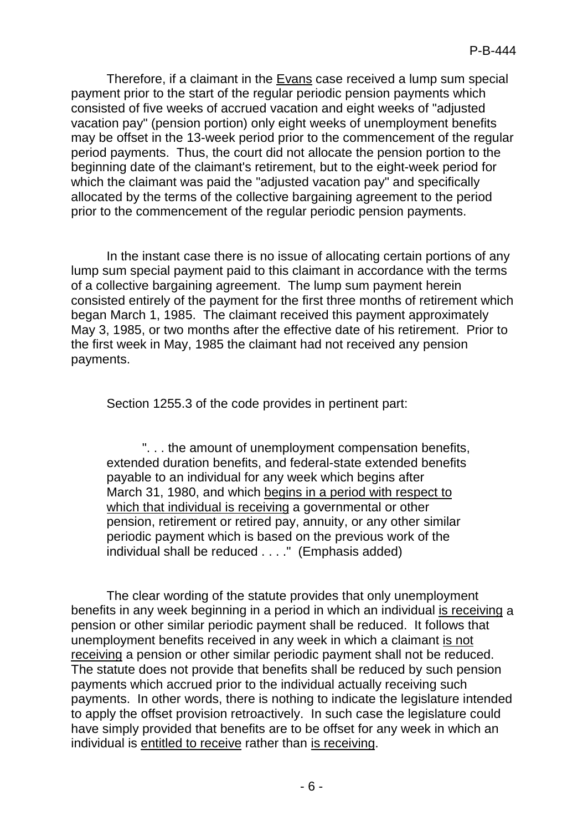Therefore, if a claimant in the Evans case received a lump sum special payment prior to the start of the regular periodic pension payments which consisted of five weeks of accrued vacation and eight weeks of "adjusted vacation pay" (pension portion) only eight weeks of unemployment benefits may be offset in the 13-week period prior to the commencement of the regular period payments. Thus, the court did not allocate the pension portion to the beginning date of the claimant's retirement, but to the eight-week period for which the claimant was paid the "adjusted vacation pay" and specifically allocated by the terms of the collective bargaining agreement to the period prior to the commencement of the regular periodic pension payments.

In the instant case there is no issue of allocating certain portions of any lump sum special payment paid to this claimant in accordance with the terms of a collective bargaining agreement. The lump sum payment herein consisted entirely of the payment for the first three months of retirement which began March 1, 1985. The claimant received this payment approximately May 3, 1985, or two months after the effective date of his retirement. Prior to the first week in May, 1985 the claimant had not received any pension payments.

Section 1255.3 of the code provides in pertinent part:

". . . the amount of unemployment compensation benefits, extended duration benefits, and federal-state extended benefits payable to an individual for any week which begins after March 31, 1980, and which begins in a period with respect to which that individual is receiving a governmental or other pension, retirement or retired pay, annuity, or any other similar periodic payment which is based on the previous work of the individual shall be reduced . . . ." (Emphasis added)

The clear wording of the statute provides that only unemployment benefits in any week beginning in a period in which an individual is receiving a pension or other similar periodic payment shall be reduced. It follows that unemployment benefits received in any week in which a claimant is not receiving a pension or other similar periodic payment shall not be reduced. The statute does not provide that benefits shall be reduced by such pension payments which accrued prior to the individual actually receiving such payments. In other words, there is nothing to indicate the legislature intended to apply the offset provision retroactively. In such case the legislature could have simply provided that benefits are to be offset for any week in which an individual is entitled to receive rather than is receiving.